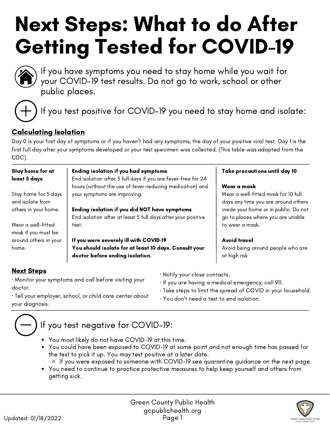# Next Steps: What to do After Getting Tested for COVID-19



If you have symptoms you need to stay home while you wait for your COVID-19 test results. Do not go to work, school or other public places.



If you test positive for COVID-19 you need to stay home and isolate:

# Calculating Isolation

Day 0 is your first day of symptoms or if you haven't had any symptoms, the day of your positive viral test. Day 1 is the first full day after your symptoms developed or your test specimen was collected. (This table was adapted from the CDC).

| Stay home for at<br>least 5 days          | <b>Ending isolation if you had symptoms</b><br>End isolation after 5 full days if you are fever-free for 24   | Take precautions until day 10                                              |
|-------------------------------------------|---------------------------------------------------------------------------------------------------------------|----------------------------------------------------------------------------|
|                                           | hours (without the use of fever-reducing medication) and                                                      | Wear a mask                                                                |
| Stay home for 5 days<br>and isolate from  | your symptoms are improving.                                                                                  | Wear a well-fitted mask for 10 full<br>days any time you are around others |
| others in your home.                      | Ending isolation if you did NOT have symptoms<br>End isolation after at least 5 full days after your positive | inside your home or in public. Do not<br>go to places where you are unable |
| Wear a well-fitted<br>mask if you must be | test.                                                                                                         | to wear a mask.                                                            |
| around others in your                     | If you were severely ill with COVID-19                                                                        | <b>Avoid travel</b>                                                        |
| home.                                     | You should isolate for at least 10 days. Consult your<br>doctor before ending isolation.                      | Avoid being around people who are<br>at high risk                          |

## **Next Steps**

- · Monitor your symptoms and call before visiting your doctor.
- · Tell your employer, school, or child care center about
- your diagnosis.
- · Notify your close contacts.
- · If you are having a medical emergency, call 911.
- · Take steps to limit the spread of COVID in your [household](https://www.cdc.gov/coronavirus/2019-ncov/prevent-getting-sick/prevention.html).
- · You don't need a test to end isolation.



# If you test negative for COVID-19:

- You most likely do not have COVID-19 at this time.
- You could have been exposed to COVID-19 at some point and not enough time has passed for the test to pick it up. You may test positive at a later date.
	- If you were exposed to someone with COVID-19 see quarantine guidance on the next page.
- You need to continue to practice protective measures to help keep yourself and others from getting sick.